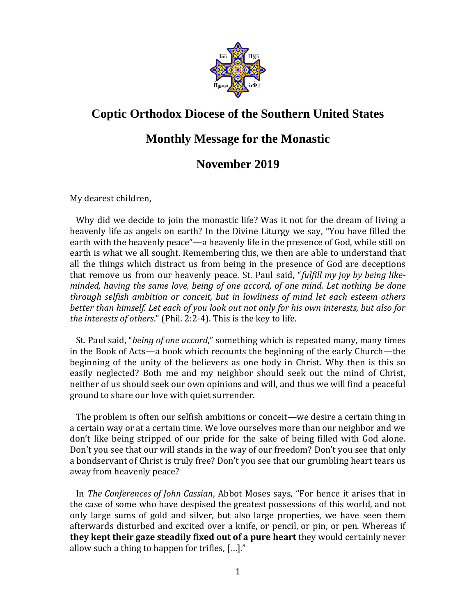

## **Coptic Orthodox Diocese of the Southern United States**

## **Monthly Message for the Monastic**

## **November 2019**

My dearest children,

 Why did we decide to join the monastic life? Was it not for the dream of living a heavenly life as angels on earth? In the Divine Liturgy we say, "You have filled the earth with the heavenly peace"—a heavenly life in the presence of God, while still on earth is what we all sought. Remembering this, we then are able to understand that all the things which distract us from being in the presence of God are deceptions that remove us from our heavenly peace. St. Paul said, "*fulfill my joy by being likeminded, having the same love, being of one accord, of one mind. Let nothing be done through selfish ambition or conceit, but in lowliness of mind let each esteem others better than himself. Let each of you look out not only for his own interests, but also for the interests of others*." (Phil. 2:2-4). This is the key to life.

 St. Paul said, "*being of one accord*," something which is repeated many, many times in the Book of Acts—a book which recounts the beginning of the early Church—the beginning of the unity of the believers as one body in Christ. Why then is this so easily neglected? Both me and my neighbor should seek out the mind of Christ, neither of us should seek our own opinions and will, and thus we will find a peaceful ground to share our love with quiet surrender.

 The problem is often our selfish ambitions or conceit—we desire a certain thing in a certain way or at a certain time. We love ourselves more than our neighbor and we don't like being stripped of our pride for the sake of being filled with God alone. Don't you see that our will stands in the way of our freedom? Don't you see that only a bondservant of Christ is truly free? Don't you see that our grumbling heart tears us away from heavenly peace?

 In *The Conferences of John Cassian*, Abbot Moses says, "For hence it arises that in the case of some who have despised the greatest possessions of this world, and not only large sums of gold and silver, but also large properties, we have seen them afterwards disturbed and excited over a knife, or pencil, or pin, or pen. Whereas if **they kept their gaze steadily fixed out of a pure heart** they would certainly never allow such a thing to happen for trifles, […]."